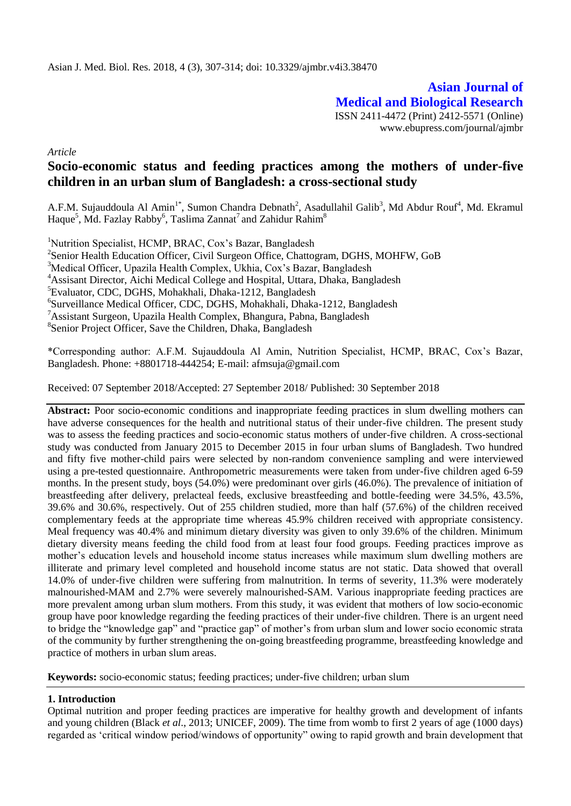**Asian Journal of Medical and Biological Research** ISSN 2411-4472 (Print) 2412-5571 (Online) www.ebupress.com/journal/ajmbr

*Article*

# **Socio-economic status and feeding practices among the mothers of under-five children in an urban slum of Bangladesh: a cross-sectional study**

A.F.M. Sujauddoula Al Amin<sup>1\*</sup>, Sumon Chandra Debnath<sup>2</sup>, Asadullahil Galib<sup>3</sup>, Md Abdur Rouf<sup>4</sup>, Md. Ekramul Haque<sup>5</sup>, Md. Fazlay Rabby<sup>6</sup>, Taslima Zannat<sup>7</sup> and Zahidur Rahim<sup>8</sup>

<sup>1</sup>Nutrition Specialist, HCMP, BRAC, Cox's Bazar, Bangladesh

<sup>2</sup>Senior Health Education Officer, Civil Surgeon Office, Chattogram, DGHS, MOHFW, GoB

<sup>3</sup>Medical Officer, Upazila Health Complex, Ukhia, Cox's Bazar, Bangladesh

<sup>4</sup>Assisant Director, Aichi Medical College and Hospital, Uttara, Dhaka, Bangladesh

<sup>5</sup>Evaluator, CDC, DGHS, Mohakhali, Dhaka-1212, Bangladesh

6 Surveillance Medical Officer, CDC, DGHS, Mohakhali, Dhaka-1212, Bangladesh

<sup>7</sup>Assistant Surgeon, Upazila Health Complex, Bhangura, Pabna, Bangladesh

<sup>8</sup>Senior Project Officer, Save the Children, Dhaka, Bangladesh

\*Corresponding author: A.F.M. Sujauddoula Al Amin, Nutrition Specialist, HCMP, BRAC, Cox"s Bazar, Bangladesh. Phone: +8801718-444254; E-mail[: afmsuja@gmail.com](mailto:afmsuja@gmail.com)

Received: 07 September 2018/Accepted: 27 September 2018/ Published: 30 September 2018

**Abstract:** Poor socio-economic conditions and inappropriate feeding practices in slum dwelling mothers can have adverse consequences for the health and nutritional status of their under-five children. The present study was to assess the feeding practices and socio-economic status mothers of under-five children. A cross-sectional study was conducted from January 2015 to December 2015 in four urban slums of Bangladesh. Two hundred and fifty five mother-child pairs were selected by non-random convenience sampling and were interviewed using a pre-tested questionnaire. Anthropometric measurements were taken from under-five children aged 6-59 months. In the present study, boys (54.0%) were predominant over girls (46.0%). The prevalence of initiation of breastfeeding after delivery, prelacteal feeds, exclusive breastfeeding and bottle-feeding were 34.5%, 43.5%, 39.6% and 30.6%, respectively. Out of 255 children studied, more than half (57.6%) of the children received complementary feeds at the appropriate time whereas 45.9% children received with appropriate consistency. Meal frequency was 40.4% and minimum dietary diversity was given to only 39.6% of the children. Minimum dietary diversity means feeding the child food from at least four food groups. Feeding practices improve as mother"s education levels and household income status increases while maximum slum dwelling mothers are illiterate and primary level completed and household income status are not static. Data showed that overall 14.0% of under-five children were suffering from malnutrition. In terms of severity, 11.3% were moderately malnourished-MAM and 2.7% were severely malnourished-SAM. Various inappropriate feeding practices are more prevalent among urban slum mothers. From this study, it was evident that mothers of low socio-economic group have poor knowledge regarding the feeding practices of their under-five children. There is an urgent need to bridge the "knowledge gap" and "practice gap" of mother's from urban slum and lower socio economic strata of the community by further strengthening the on-going breastfeeding programme, breastfeeding knowledge and practice of mothers in urban slum areas.

**Keywords:** socio-economic status; feeding practices; under-five children; urban slum

# **1. Introduction**

Optimal nutrition and proper feeding practices are imperative for healthy growth and development of infants and young children (Black *et al*., 2013; UNICEF, 2009). The time from womb to first 2 years of age (1000 days) regarded as "critical window period/windows of opportunity" owing to rapid growth and brain development that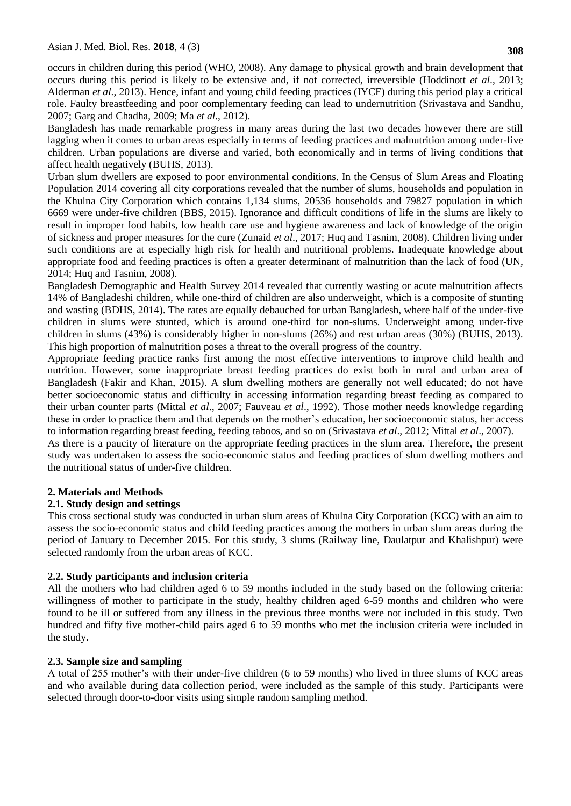occurs in children during this period (WHO, 2008). Any damage to physical growth and brain development that occurs during this period is likely to be extensive and, if not corrected, irreversible (Hoddinott *et al*., 2013; Alderman *et al*., 2013). Hence, infant and young child feeding practices (IYCF) during this period play a critical role. Faulty breastfeeding and poor complementary feeding can lead to undernutrition (Srivastava and Sandhu, 2007; Garg and Chadha, 2009; Ma *et al*., 2012).

Bangladesh has made remarkable progress in many areas during the last two decades however there are still lagging when it comes to urban areas especially in terms of feeding practices and malnutrition among under-five children. Urban populations are diverse and varied, both economically and in terms of living conditions that affect health negatively (BUHS, 2013).

Urban slum dwellers are exposed to poor environmental conditions. In the Census of Slum Areas and Floating Population 2014 covering all city corporations revealed that the number of slums, households and population in the Khulna City Corporation which contains 1,134 slums, 20536 households and 79827 population in which 6669 were under-five children (BBS, 2015). Ignorance and difficult conditions of life in the slums are likely to result in improper food habits, low health care use and hygiene awareness and lack of knowledge of the origin of sickness and proper measures for the cure (Zunaid *et al*., 2017; Huq and Tasnim, 2008). Children living under such conditions are at especially high risk for health and nutritional problems. Inadequate knowledge about appropriate food and feeding practices is often a greater determinant of malnutrition than the lack of food (UN, 2014; Huq and Tasnim, 2008).

Bangladesh Demographic and Health Survey 2014 revealed that currently wasting or acute malnutrition affects 14% of Bangladeshi children, while one-third of children are also underweight, which is a composite of stunting and wasting (BDHS, 2014). The rates are equally debauched for urban Bangladesh, where half of the under-five children in slums were stunted, which is around one-third for non-slums. Underweight among under-five children in slums (43%) is considerably higher in non-slums (26%) and rest urban areas (30%) (BUHS, 2013). This high proportion of malnutrition poses a threat to the overall progress of the country.

Appropriate feeding practice ranks first among the most effective interventions to improve child health and nutrition. However, some inappropriate breast feeding practices do exist both in rural and urban area of Bangladesh (Fakir and Khan, 2015). A slum dwelling mothers are generally not well educated; do not have better socioeconomic status and difficulty in accessing information regarding breast feeding as compared to their urban counter parts (Mittal *et al*., 2007; Fauveau *et al*., 1992). Those mother needs knowledge regarding these in order to practice them and that depends on the mother"s education, her socioeconomic status, her access to information regarding breast feeding, feeding taboos, and so on (Srivastava *et al*., 2012; Mittal *et al*., 2007).

As there is a paucity of literature on the appropriate feeding practices in the slum area. Therefore, the present study was undertaken to assess the socio-economic status and feeding practices of slum dwelling mothers and the nutritional status of under-five children.

### **2. Materials and Methods**

### **2.1. Study design and settings**

This cross sectional study was conducted in urban slum areas of Khulna City Corporation (KCC) with an aim to assess the socio-economic status and child feeding practices among the mothers in urban slum areas during the period of January to December 2015. For this study, 3 slums (Railway line, Daulatpur and Khalishpur) were selected randomly from the urban areas of KCC.

### **2.2. Study participants and inclusion criteria**

All the mothers who had children aged 6 to 59 months included in the study based on the following criteria: willingness of mother to participate in the study, healthy children aged 6-59 months and children who were found to be ill or suffered from any illness in the previous three months were not included in this study. Two hundred and fifty five mother-child pairs aged 6 to 59 months who met the inclusion criteria were included in the study.

### **2.3. Sample size and sampling**

A total of 255 mother"s with their under-five children (6 to 59 months) who lived in three slums of KCC areas and who available during data collection period, were included as the sample of this study. Participants were selected through door-to-door visits using simple random sampling method.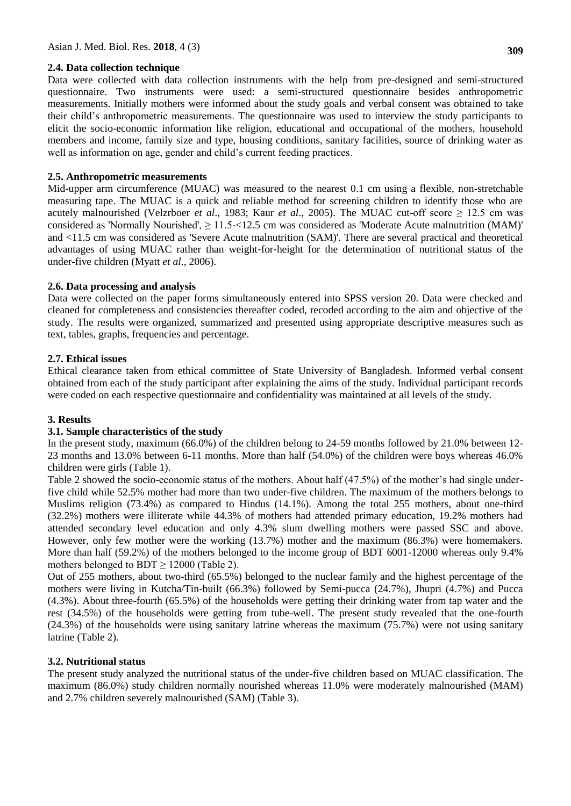### **2.4. Data collection technique**

Data were collected with data collection instruments with the help from pre-designed and semi-structured questionnaire. Two instruments were used: a semi-structured questionnaire besides anthropometric measurements. Initially mothers were informed about the study goals and verbal consent was obtained to take their child"s anthropometric measurements. The questionnaire was used to interview the study participants to elicit the socio-economic information like religion, educational and occupational of the mothers, household members and income, family size and type, housing conditions, sanitary facilities, source of drinking water as well as information on age, gender and child"s current feeding practices.

# **2.5. Anthropometric measurements**

Mid-upper arm circumference (MUAC) was measured to the nearest 0.1 cm using a flexible, non-stretchable measuring tape. The MUAC is a quick and reliable method for screening children to identify those who are acutely malnourished (Velzrboer *et al.*, 1983; Kaur *et al.*, 2005). The MUAC cut-off score  $\geq 12.5$  cm was considered as 'Normally Nourished',  $\geq 11.5 - 12.5$  cm was considered as 'Moderate Acute malnutrition (MAM)' and <11.5 cm was considered as 'Severe Acute malnutrition (SAM)'. There are several practical and theoretical advantages of using MUAC rather than weight‐for‐height for the determination of nutritional status of the under-five children (Myatt *et al*., 2006).

# **2.6. Data processing and analysis**

Data were collected on the paper forms simultaneously entered into SPSS version 20. Data were checked and cleaned for completeness and consistencies thereafter coded, recoded according to the aim and objective of the study. The results were organized, summarized and presented using appropriate descriptive measures such as text, tables, graphs, frequencies and percentage.

# **2.7. Ethical issues**

Ethical clearance taken from ethical committee of State University of Bangladesh. Informed verbal consent obtained from each of the study participant after explaining the aims of the study. Individual participant records were coded on each respective questionnaire and confidentiality was maintained at all levels of the study.

# **3. Results**

# **3.1. Sample characteristics of the study**

In the present study, maximum (66.0%) of the children belong to 24-59 months followed by 21.0% between 12- 23 months and 13.0% between 6-11 months. More than half (54.0%) of the children were boys whereas 46.0% children were girls (Table 1).

Table 2 showed the socio-economic status of the mothers. About half (47.5%) of the mother's had single underfive child while 52.5% mother had more than two under-five children. The maximum of the mothers belongs to Muslims religion (73.4%) as compared to Hindus (14.1%). Among the total 255 mothers, about one-third (32.2%) mothers were illiterate while 44.3% of mothers had attended primary education, 19.2% mothers had attended secondary level education and only 4.3% slum dwelling mothers were passed SSC and above. However, only few mother were the working (13.7%) mother and the maximum (86.3%) were homemakers. More than half (59.2%) of the mothers belonged to the income group of BDT 6001-12000 whereas only 9.4% mothers belonged to BDT  $\geq$  12000 (Table 2).

Out of 255 mothers, about two-third (65.5%) belonged to the nuclear family and the highest percentage of the mothers were living in Kutcha/Tin-built (66.3%) followed by Semi-pucca (24.7%), Jhupri (4.7%) and Pucca (4.3%). About three-fourth (65.5%) of the households were getting their drinking water from tap water and the rest (34.5%) of the households were getting from tube-well. The present study revealed that the one-fourth (24.3%) of the households were using sanitary latrine whereas the maximum (75.7%) were not using sanitary latrine (Table 2).

# **3.2. Nutritional status**

The present study analyzed the nutritional status of the under-five children based on MUAC classification. The maximum (86.0%) study children normally nourished whereas 11.0% were moderately malnourished (MAM) and 2.7% children severely malnourished (SAM) (Table 3).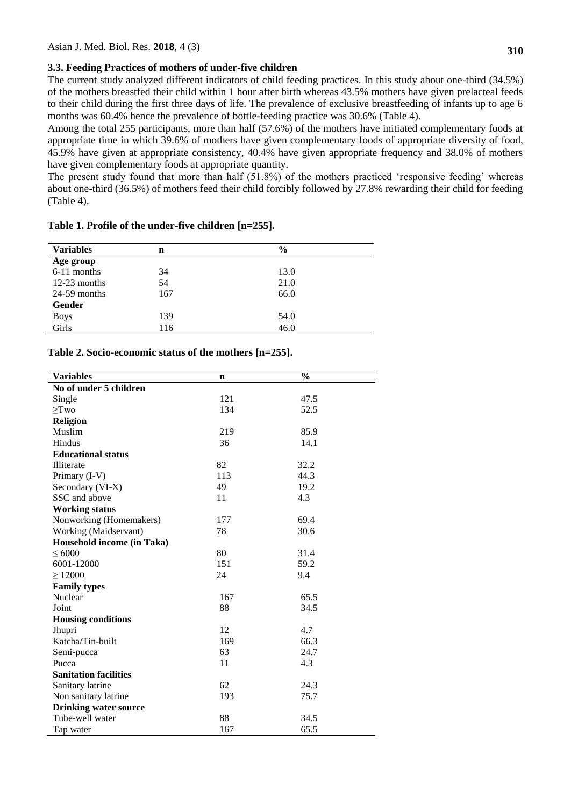## **3.3. Feeding Practices of mothers of under-five children**

The current study analyzed different indicators of child feeding practices. In this study about one-third (34.5%) of the mothers breastfed their child within 1 hour after birth whereas 43.5% mothers have given prelacteal feeds to their child during the first three days of life. The prevalence of exclusive breastfeeding of infants up to age 6 months was 60.4% hence the prevalence of bottle-feeding practice was 30.6% (Table 4).

Among the total 255 participants, more than half (57.6%) of the mothers have initiated complementary foods at appropriate time in which 39.6% of mothers have given complementary foods of appropriate diversity of food, 45.9% have given at appropriate consistency, 40.4% have given appropriate frequency and 38.0% of mothers have given complementary foods at appropriate quantity.

The present study found that more than half  $(51.8%)$  of the mothers practiced 'responsive feeding' whereas about one-third (36.5%) of mothers feed their child forcibly followed by 27.8% rewarding their child for feeding (Table 4).

| <b>Variables</b> | n   | $\frac{6}{9}$ |  |
|------------------|-----|---------------|--|
| Age group        |     |               |  |
| $6-11$ months    | 34  | 13.0          |  |
| $12-23$ months   | 54  | 21.0          |  |
| $24-59$ months   | 167 | 66.0          |  |
| Gender           |     |               |  |
| <b>Boys</b>      | 139 | 54.0          |  |
| Girls            | 116 | 46.0          |  |

### **Table 1. Profile of the under-five children [n=255].**

### **Table 2. Socio-economic status of the mothers [n=255].**

| <b>Variables</b>             | $\mathbf n$ | $\frac{0}{0}$ |  |  |
|------------------------------|-------------|---------------|--|--|
| No of under 5 children       |             |               |  |  |
| Single                       | 121         | 47.5          |  |  |
| $\geq$ Two                   | 134         | 52.5          |  |  |
| Religion                     |             |               |  |  |
| Muslim                       | 219         | 85.9          |  |  |
| Hindus                       | 36          | 14.1          |  |  |
| <b>Educational status</b>    |             |               |  |  |
| Illiterate                   | 82          | 32.2          |  |  |
| Primary (I-V)                | 113         | 44.3          |  |  |
| Secondary (VI-X)             | 49          | 19.2          |  |  |
| SSC and above                | 11          | 4.3           |  |  |
| <b>Working status</b>        |             |               |  |  |
| Nonworking (Homemakers)      | 177         | 69.4          |  |  |
| Working (Maidservant)        | 78          | 30.6          |  |  |
| Household income (in Taka)   |             |               |  |  |
| $\leq 6000$                  | 80          | 31.4          |  |  |
| 6001-12000                   | 151         | 59.2          |  |  |
| $\geq 12000$                 | 24          | 9.4           |  |  |
| <b>Family types</b>          |             |               |  |  |
| Nuclear                      | 167         | 65.5          |  |  |
| Joint                        | 88          | 34.5          |  |  |
| <b>Housing conditions</b>    |             |               |  |  |
| Jhupri                       | 12          | 4.7           |  |  |
| Katcha/Tin-built             | 169         | 66.3          |  |  |
| Semi-pucca                   | 63          | 24.7          |  |  |
| Pucca                        | 11          | 4.3           |  |  |
| <b>Sanitation facilities</b> |             |               |  |  |
| Sanitary latrine             | 62          | 24.3          |  |  |
| Non sanitary latrine         | 193         | 75.7          |  |  |
| <b>Drinking water source</b> |             |               |  |  |
| Tube-well water              | 88          | 34.5          |  |  |
| Tap water                    | 167         | 65.5          |  |  |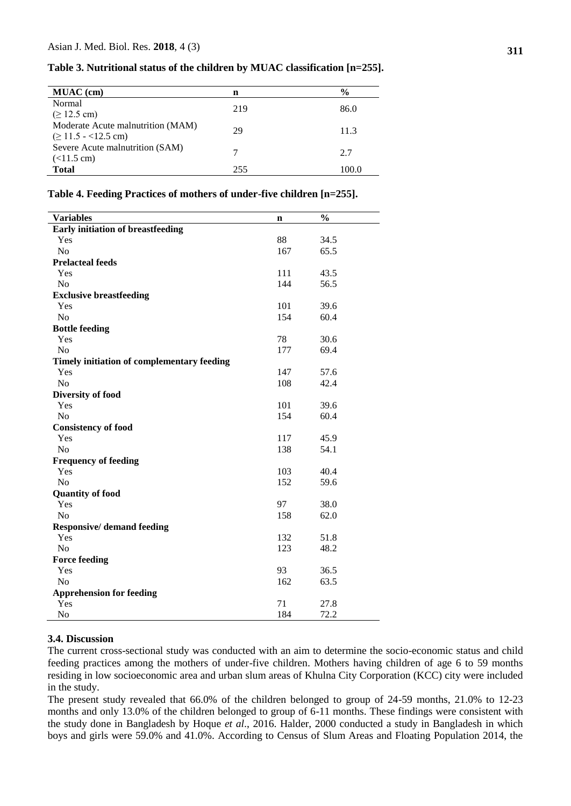| <b>MUAC</b> (cm)                  | n   | $\frac{0}{0}$ |
|-----------------------------------|-----|---------------|
| Normal                            | 219 | 86.0          |
| $( \ge 12.5 \text{ cm} )$         |     |               |
| Moderate Acute malnutrition (MAM) | 29  | 11.3          |
| $( \geq 11.5 - 12.5$ cm)          |     |               |
| Severe Acute malnutrition (SAM)   |     | 2.7           |
| $(<11.5$ cm)                      |     |               |
| <b>Total</b>                      | 255 | 100.0         |

**Table 3. Nutritional status of the children by MUAC classification [n=255].**

| <b>Variables</b>                           | n   | $\frac{0}{0}$ |
|--------------------------------------------|-----|---------------|
| <b>Early initiation of breastfeeding</b>   |     |               |
| Yes                                        | 88  | 34.5          |
| N <sub>o</sub>                             | 167 | 65.5          |
| <b>Prelacteal feeds</b>                    |     |               |
| Yes                                        | 111 | 43.5          |
| N <sub>o</sub>                             | 144 | 56.5          |
| <b>Exclusive breastfeeding</b>             |     |               |
| Yes                                        | 101 | 39.6          |
| N <sub>o</sub>                             | 154 | 60.4          |
|                                            |     |               |
| <b>Bottle feeding</b>                      | 78  | 30.6          |
| Yes<br>No                                  | 177 |               |
|                                            |     | 69.4          |
| Timely initiation of complementary feeding |     |               |
| Yes                                        | 147 | 57.6          |
| N <sub>o</sub>                             | 108 | 42.4          |
| <b>Diversity of food</b>                   |     |               |
| Yes                                        | 101 | 39.6          |
| N <sub>o</sub>                             | 154 | 60.4          |
| <b>Consistency of food</b>                 |     |               |
| Yes                                        | 117 | 45.9          |
| N <sub>o</sub>                             | 138 | 54.1          |
| <b>Frequency of feeding</b>                |     |               |
| Yes                                        | 103 | 40.4          |
| N <sub>o</sub>                             | 152 | 59.6          |
| <b>Quantity of food</b>                    |     |               |
| Yes                                        | 97  | 38.0          |
| N <sub>o</sub>                             | 158 | 62.0          |
| <b>Responsive/</b> demand feeding          |     |               |
| Yes                                        | 132 | 51.8          |
| N <sub>o</sub>                             | 123 | 48.2          |
| <b>Force feeding</b>                       |     |               |
| Yes                                        | 93  | 36.5          |
| N <sub>o</sub>                             | 162 | 63.5          |
| <b>Apprehension for feeding</b>            |     |               |
| Yes                                        | 71  | 27.8          |
| No                                         | 184 | 72.2          |

#### **Table 4. Feeding Practices of mothers of under-five children [n=255].**

## **3.4. Discussion**

The current cross-sectional study was conducted with an aim to determine the socio-economic status and child feeding practices among the mothers of under-five children. Mothers having children of age 6 to 59 months residing in low socioeconomic area and urban slum areas of Khulna City Corporation (KCC) city were included in the study.

The present study revealed that 66.0% of the children belonged to group of 24-59 months, 21.0% to 12-23 months and only 13.0% of the children belonged to group of 6-11 months. These findings were consistent with the study done in Bangladesh by Hoque *et al*., 2016. Halder, 2000 conducted a study in Bangladesh in which boys and girls were 59.0% and 41.0%. According to Census of Slum Areas and Floating Population 2014, the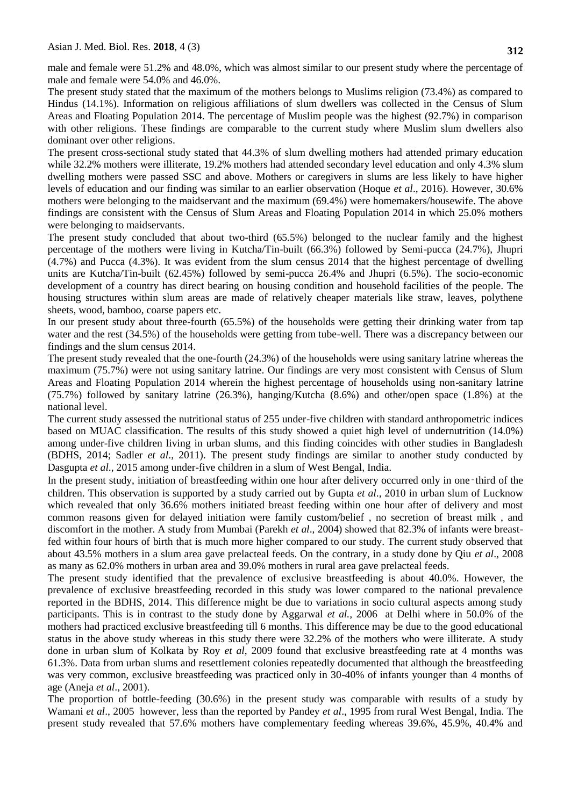male and female were 51.2% and 48.0%, which was almost similar to our present study where the percentage of male and female were 54.0% and 46.0%.

The present study stated that the maximum of the mothers belongs to Muslims religion (73.4%) as compared to Hindus (14.1%). Information on religious affiliations of slum dwellers was collected in the Census of Slum Areas and Floating Population 2014. The percentage of Muslim people was the highest (92.7%) in comparison with other religions. These findings are comparable to the current study where Muslim slum dwellers also dominant over other religions.

The present cross-sectional study stated that 44.3% of slum dwelling mothers had attended primary education while 32.2% mothers were illiterate, 19.2% mothers had attended secondary level education and only 4.3% slum dwelling mothers were passed SSC and above. Mothers or caregivers in slums are less likely to have higher levels of education and our finding was similar to an earlier observation (Hoque *et al*., 2016). However, 30.6% mothers were belonging to the maidservant and the maximum (69.4%) were homemakers/housewife. The above findings are consistent with the Census of Slum Areas and Floating Population 2014 in which 25.0% mothers were belonging to maidservants.

The present study concluded that about two-third (65.5%) belonged to the nuclear family and the highest percentage of the mothers were living in Kutcha/Tin-built (66.3%) followed by Semi-pucca (24.7%), Jhupri (4.7%) and Pucca (4.3%). It was evident from the slum census 2014 that the highest percentage of dwelling units are Kutcha/Tin-built (62.45%) followed by semi-pucca 26.4% and Jhupri (6.5%). The socio-economic development of a country has direct bearing on housing condition and household facilities of the people. The housing structures within slum areas are made of relatively cheaper materials like straw, leaves, polythene sheets, wood, bamboo, coarse papers etc.

In our present study about three-fourth (65.5%) of the households were getting their drinking water from tap water and the rest (34.5%) of the households were getting from tube-well. There was a discrepancy between our findings and the slum census 2014.

The present study revealed that the one-fourth (24.3%) of the households were using sanitary latrine whereas the maximum (75.7%) were not using sanitary latrine. Our findings are very most consistent with Census of Slum Areas and Floating Population 2014 wherein the highest percentage of households using non-sanitary latrine (75.7%) followed by sanitary latrine (26.3%), hanging/Kutcha (8.6%) and other/open space (1.8%) at the national level.

The current study assessed the nutritional status of 255 under-five children with standard anthropometric indices based on MUAC classification. The results of this study showed a quiet high level of undernutrition (14.0%) among under-five children living in urban slums, and this finding coincides with other studies in Bangladesh (BDHS, 2014; Sadler *et al*., 2011). The present study findings are similar to another study conducted by Dasgupta *et al*., 2015 among under-five children in a slum of West Bengal, India.

In the present study, initiation of breastfeeding within one hour after delivery occurred only in one–third of the children. This observation is supported by a study carried out by Gupta *et al*., 2010 in urban slum of Lucknow which revealed that only 36.6% mothers initiated breast feeding within one hour after of delivery and most common reasons given for delayed initiation were family custom/belief , no secretion of breast milk , and discomfort in the mother. A study from Mumbai (Parekh *et al*., 2004) showed that 82.3% of infants were breastfed within four hours of birth that is much more higher compared to our study. The current study observed that about 43.5% mothers in a slum area gave prelacteal feeds. On the contrary, in a study done by Qiu *et al*., 2008 as many as 62.0% mothers in urban area and 39.0% mothers in rural area gave prelacteal feeds.

The present study identified that the prevalence of exclusive breastfeeding is about 40.0%. However, the prevalence of exclusive breastfeeding recorded in this study was lower compared to the national prevalence reported in the BDHS, 2014. This difference might be due to variations in socio cultural aspects among study participants. This is in contrast to the study done by Aggarwal *et al.,* 2006 at Delhi where in 50.0% of the mothers had practiced exclusive breastfeeding till 6 months. This difference may be due to the good educational status in the above study whereas in this study there were 32.2% of the mothers who were illiterate. A study done in urban slum of Kolkata by Roy *et al*, 2009 found that exclusive breastfeeding rate at 4 months was 61.3%. Data from urban slums and resettlement colonies repeatedly documented that although the breastfeeding was very common, exclusive breastfeeding was practiced only in 30-40% of infants younger than 4 months of age (Aneja *et al*., 2001).

The proportion of bottle-feeding (30.6%) in the present study was comparable with results of a study by Wamani *et al*., 2005 however, less than the reported by Pandey *et al*., 1995 from rural West Bengal, India. The present study revealed that 57.6% mothers have complementary feeding whereas 39.6%, 45.9%, 40.4% and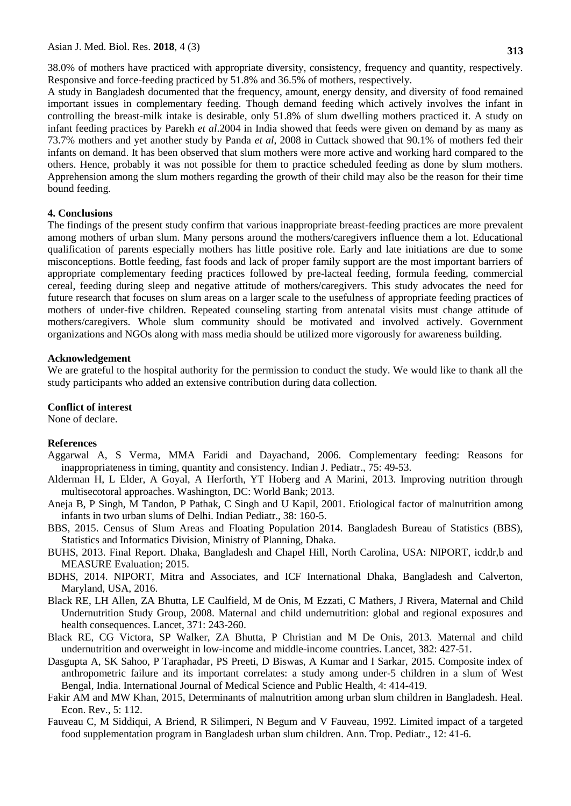38.0% of mothers have practiced with appropriate diversity, consistency, frequency and quantity, respectively. Responsive and force-feeding practiced by 51.8% and 36.5% of mothers, respectively.

A study in Bangladesh documented that the frequency, amount, energy density, and diversity of food remained important issues in complementary feeding. Though demand feeding which actively involves the infant in controlling the breast-milk intake is desirable, only 51.8% of slum dwelling mothers practiced it. A study on infant feeding practices by Parekh *et al*.2004 in India showed that feeds were given on demand by as many as 73.7% mothers and yet another study by Panda *et al*, 2008 in Cuttack showed that 90.1% of mothers fed their infants on demand. It has been observed that slum mothers were more active and working hard compared to the others. Hence, probably it was not possible for them to practice scheduled feeding as done by slum mothers. Apprehension among the slum mothers regarding the growth of their child may also be the reason for their time bound feeding.

### **4. Conclusions**

The findings of the present study confirm that various inappropriate breast-feeding practices are more prevalent among mothers of urban slum. Many persons around the mothers/caregivers influence them a lot. Educational qualification of parents especially mothers has little positive role. Early and late initiations are due to some misconceptions. Bottle feeding, fast foods and lack of proper family support are the most important barriers of appropriate complementary feeding practices followed by pre-lacteal feeding, formula feeding, commercial cereal, feeding during sleep and negative attitude of mothers/caregivers. This study advocates the need for future research that focuses on slum areas on a larger scale to the usefulness of appropriate feeding practices of mothers of under-five children. Repeated counseling starting from antenatal visits must change attitude of mothers/caregivers. Whole slum community should be motivated and involved actively. Government organizations and NGOs along with mass media should be utilized more vigorously for awareness building.

#### **Acknowledgement**

We are grateful to the hospital authority for the permission to conduct the study. We would like to thank all the study participants who added an extensive contribution during data collection.

#### **Conflict of interest**

None of declare.

#### **References**

- Aggarwal A, S Verma, MMA Faridi and Dayachand, 2006. Complementary feeding: Reasons for inappropriateness in timing, quantity and consistency. Indian J. Pediatr., 75: 49-53.
- Alderman H, L Elder, A Goyal, A Herforth, YT Hoberg and A Marini, 2013. Improving nutrition through multisecotoral approaches. Washington, DC: World Bank; 2013.
- Aneja B, P Singh, M Tandon, P Pathak, C Singh and U Kapil, 2001. Etiological factor of malnutrition among infants in two urban slums of Delhi. Indian Pediatr., 38: 160-5.
- BBS, 2015. Census of Slum Areas and Floating Population 2014. Bangladesh Bureau of Statistics (BBS), Statistics and Informatics Division, Ministry of Planning, Dhaka.
- BUHS, 2013. Final Report. Dhaka, Bangladesh and Chapel Hill, North Carolina, USA: NIPORT, icddr,b and MEASURE Evaluation; 2015.
- BDHS, 2014. NIPORT, Mitra and Associates, and ICF International Dhaka, Bangladesh and Calverton, Maryland, USA, 2016.
- Black RE, LH Allen, ZA Bhutta, LE Caulfield, M de Onis, M Ezzati, C [Mathers,](https://www.ncbi.nlm.nih.gov/pubmed/?term=Mathers%20C%5BAuthor%5D&cauthor=true&cauthor_uid=18207566) J [Rivera,](https://www.ncbi.nlm.nih.gov/pubmed/?term=Rivera%20J%5BAuthor%5D&cauthor=true&cauthor_uid=18207566) [Maternal and Child](https://www.ncbi.nlm.nih.gov/pubmed/?term=Maternal%20and%20Child%20Undernutrition%20Study%20Group%5BCorporate%20Author%5D)  [Undernutrition Study Group,](https://www.ncbi.nlm.nih.gov/pubmed/?term=Maternal%20and%20Child%20Undernutrition%20Study%20Group%5BCorporate%20Author%5D) 2008. Maternal and child undernutrition: global and regional exposures and health consequences. Lancet, 371: 243-260.
- Black RE, CG Victora, SP Walker, ZA Bhutta, P Christian and M De Onis, 2013. Maternal and child undernutrition and overweight in low-income and middle-income countries. Lancet, 382: 427-51.
- Dasgupta A, SK Sahoo, P Taraphadar, PS Preeti, D Biswas, A Kumar and I Sarkar, 2015. Composite index of anthropometric failure and its important correlates: a study among under-5 children in a slum of West Bengal, India. International Journal of Medical Science and Public Health, 4: 414-419.
- Fakir AM and MW Khan, 2015, Determinants of malnutrition among urban slum children in Bangladesh. Heal. Econ. Rev., 5: 112.
- Fauveau C, M Siddiqui, A Briend, R Silimperi, N Begum and V Fauveau, 1992. Limited impact of a targeted food supplementation program in Bangladesh urban slum children. Ann. Trop. Pediatr., 12: 41-6.